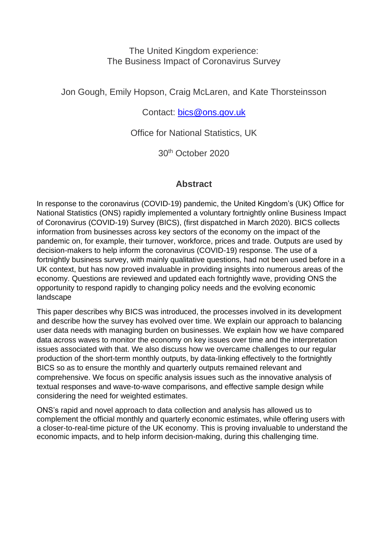## The United Kingdom experience: The Business Impact of Coronavirus Survey

Jon Gough, Emily Hopson, Craig McLaren, and Kate Thorsteinsson

Contact: [bics@ons.gov.uk](mailto:bics@ons.gov.uk)

Office for National Statistics, UK

30th October 2020

# **Abstract**

In response to the coronavirus (COVID-19) pandemic, the United Kingdom's (UK) Office for National Statistics (ONS) rapidly implemented a voluntary fortnightly online Business Impact of Coronavirus (COVID-19) Survey (BICS), (first dispatched in March 2020). BICS collects information from businesses across key sectors of the economy on the impact of the pandemic on, for example, their turnover, workforce, prices and trade. Outputs are used by decision-makers to help inform the coronavirus (COVID-19) response. The use of a fortnightly business survey, with mainly qualitative questions, had not been used before in a UK context, but has now proved invaluable in providing insights into numerous areas of the economy. Questions are reviewed and updated each fortnightly wave, providing ONS the opportunity to respond rapidly to changing policy needs and the evolving economic landscape

This paper describes why BICS was introduced, the processes involved in its development and describe how the survey has evolved over time. We explain our approach to balancing user data needs with managing burden on businesses. We explain how we have compared data across waves to monitor the economy on key issues over time and the interpretation issues associated with that. We also discuss how we overcame challenges to our regular production of the short-term monthly outputs, by data-linking effectively to the fortnightly BICS so as to ensure the monthly and quarterly outputs remained relevant and comprehensive. We focus on specific analysis issues such as the innovative analysis of textual responses and wave-to-wave comparisons, and effective sample design while considering the need for weighted estimates.

ONS's rapid and novel approach to data collection and analysis has allowed us to complement the official monthly and quarterly economic estimates, while offering users with a closer-to-real-time picture of the UK economy. This is proving invaluable to understand the economic impacts, and to help inform decision-making, during this challenging time.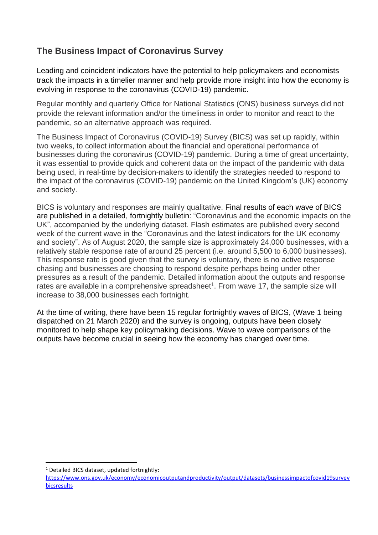# **The Business Impact of Coronavirus Survey**

Leading and coincident indicators have the potential to help policymakers and economists track the impacts in a timelier manner and help provide more insight into how the economy is evolving in response to the coronavirus (COVID-19) pandemic.

Regular monthly and quarterly Office for National Statistics (ONS) business surveys did not provide the relevant information and/or the timeliness in order to monitor and react to the pandemic, so an alternative approach was required.

The Business Impact of Coronavirus (COVID-19) Survey (BICS) was set up rapidly, within two weeks, to collect information about the financial and operational performance of businesses during the coronavirus (COVID-19) pandemic. During a time of great uncertainty, it was essential to provide quick and coherent data on the impact of the pandemic with data being used, in real-time by decision-makers to identify the strategies needed to respond to the impact of the coronavirus (COVID-19) pandemic on the United Kingdom's (UK) economy and society.

BICS is voluntary and responses are mainly qualitative. Final results of each wave of BICS are published in a detailed, fortnightly bulletin: "Coronavirus and the [economic impacts on the](https://www.ons.gov.uk/businessindustryandtrade/business/businessservices/bulletins/coronavirusandtheeconomicimpactsontheuk/4june2020)  [UK"](https://www.ons.gov.uk/businessindustryandtrade/business/businessservices/bulletins/coronavirusandtheeconomicimpactsontheuk/4june2020), accompanied by the underlying dataset. Flash estimates are published every second week of the current wave in the ["Coronavirus and the latest indicators for the UK economy](https://www.ons.gov.uk/peoplepopulationandcommunity/healthandsocialcare/conditionsanddiseases/bulletins/coronavirustheukeconomyandsocietyfasterindicators/4june2020)  [and society"](https://www.ons.gov.uk/peoplepopulationandcommunity/healthandsocialcare/conditionsanddiseases/bulletins/coronavirustheukeconomyandsocietyfasterindicators/4june2020). As of August 2020, the sample size is approximately 24,000 businesses, with a relatively stable response rate of around 25 percent (i.e. around 5,500 to 6,000 businesses). This response rate is good given that the survey is voluntary, there is no active response chasing and businesses are choosing to respond despite perhaps being under other pressures as a result of the pandemic. Detailed information about the outputs and response rates are available in a comprehensive spreadsheet<sup>1</sup>. From wave 17, the sample size will increase to 38,000 businesses each fortnight.

At the time of writing, there have been 15 regular fortnightly waves of BICS, (Wave 1 being dispatched on 21 March 2020) and the survey is ongoing, outputs have been closely monitored to help shape key policymaking decisions. Wave to wave comparisons of the outputs have become crucial in seeing how the economy has changed over time.

<sup>&</sup>lt;sup>1</sup> Detailed BICS dataset, updated fortnightly:

[https://www.ons.gov.uk/economy/economicoutputandproductivity/output/datasets/businessimpactofcovid19survey](https://www.ons.gov.uk/economy/economicoutputandproductivity/output/datasets/businessimpactofcovid19surveybicsresults) [bicsresults](https://www.ons.gov.uk/economy/economicoutputandproductivity/output/datasets/businessimpactofcovid19surveybicsresults)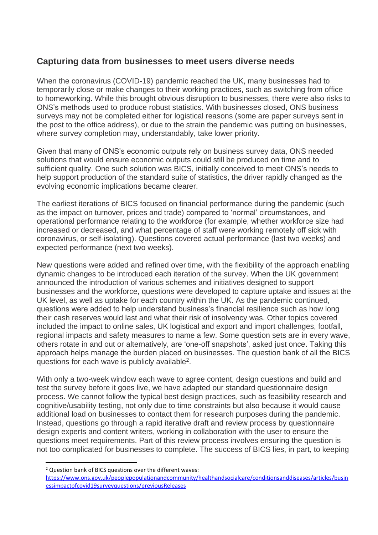# **Capturing data from businesses to meet users diverse needs**

When the coronavirus (COVID-19) pandemic reached the UK, many businesses had to temporarily close or make changes to their working practices, such as switching from office to homeworking. While this brought obvious disruption to businesses, there were also risks to ONS's methods used to produce robust statistics. With businesses closed, ONS business surveys may not be completed either for logistical reasons (some are paper surveys sent in the post to the office address), or due to the strain the pandemic was putting on businesses, where survey completion may, understandably, take lower priority.

Given that many of ONS's economic outputs rely on business survey data, ONS needed solutions that would ensure economic outputs could still be produced on time and to sufficient quality. One such solution was BICS, initially conceived to meet ONS's needs to help support production of the standard suite of statistics, the driver rapidly changed as the evolving economic implications became clearer.

The earliest iterations of BICS focused on financial performance during the pandemic (such as the impact on turnover, prices and trade) compared to 'normal' circumstances, and operational performance relating to the workforce (for example, whether workforce size had increased or decreased, and what percentage of staff were working remotely off sick with coronavirus, or self-isolating). Questions covered actual performance (last two weeks) and expected performance (next two weeks).

New questions were added and refined over time, with the flexibility of the approach enabling dynamic changes to be introduced each iteration of the survey. When the UK government announced the introduction of various schemes and initiatives designed to support businesses and the workforce, questions were developed to capture uptake and issues at the UK level, as well as uptake for each country within the UK. As the pandemic continued, questions were added to help understand business's financial resilience such as how long their cash reserves would last and what their risk of insolvency was. Other topics covered included the impact to online sales, UK logistical and export and import challenges, footfall, regional impacts and safety measures to name a few. Some question sets are in every wave, others rotate in and out or alternatively, are 'one-off snapshots', asked just once. Taking this approach helps manage the burden placed on businesses. The question bank of all the BICS questions for each wave is publicly available<sup>2</sup>.

With only a two-week window each wave to agree content, design questions and build and test the survey before it goes live, we have adapted our standard questionnaire design process. We cannot follow the typical best design practices, such as feasibility research and cognitive/usability testing, not only due to time constraints but also because it would cause additional load on businesses to contact them for research purposes during the pandemic. Instead, questions go through a rapid iterative draft and review process by questionnaire design experts and content writers, working in collaboration with the user to ensure the questions meet requirements. Part of this review process involves ensuring the question is not too complicated for businesses to complete. The success of BICS lies, in part, to keeping

<sup>2</sup> Question bank of BICS questions over the different waves:

[https://www.ons.gov.uk/peoplepopulationandcommunity/healthandsocialcare/conditionsanddiseases/articles/busin](https://www.ons.gov.uk/peoplepopulationandcommunity/healthandsocialcare/conditionsanddiseases/articles/businessimpactofcovid19surveyquestions/previousReleases) [essimpactofcovid19surveyquestions/previousReleases](https://www.ons.gov.uk/peoplepopulationandcommunity/healthandsocialcare/conditionsanddiseases/articles/businessimpactofcovid19surveyquestions/previousReleases)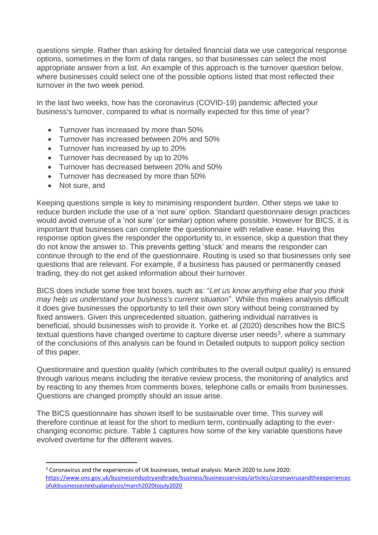questions simple. Rather than asking for detailed financial data we use categorical response options, sometimes in the form of data ranges, so that businesses can select the most appropriate answer from a list. An example of this approach is the turnover question below, where businesses could select one of the possible options listed that most reflected their turnover in the two week period.

In the last two weeks, how has the coronavirus (COVID-19) pandemic affected your business's turnover, compared to what is normally expected for this time of year?

- Turnover has increased by more than 50%
- Turnover has increased between 20% and 50%
- Turnover has increased by up to 20%
- Turnover has decreased by up to 20%
- Turnover has decreased between 20% and 50%
- Turnover has decreased by more than 50%
- Not sure, and

Keeping questions simple is key to minimising respondent burden. Other steps we take to reduce burden include the use of a 'not sure' option. Standard questionnaire design practices would avoid overuse of a 'not sure' (or similar) option where possible. However for BICS, it is important that businesses can complete the questionnaire with relative ease. Having this response option gives the responder the opportunity to, in essence, skip a question that they do not know the answer to. This prevents getting 'stuck' and means the responder can continue through to the end of the questionnaire. Routing is used so that businesses only see questions that are relevant. For example, if a business has paused or permanently ceased trading, they do not get asked information about their turnover.

BICS does include some free text boxes, such as: "*Let us know anything else that you think may help us understand your business's current situation*". While this makes analysis difficult it does give businesses the opportunity to tell their own story without being constrained by fixed answers. Given this unprecedented situation, gathering individual narratives is beneficial, should businesses wish to provide it. Yorke et. al (2020) describes how the BICS textual questions have changed overtime to capture diverse user needs<sup>3</sup>, where a summary of the conclusions of this analysis can be found in Detailed outputs to support policy section of this paper.

Questionnaire and question quality (which contributes to the overall output quality) is ensured through various means including the iterative review process, the monitoring of analytics and by reacting to any themes from comments boxes, telephone calls or emails from businesses. Questions are changed promptly should an issue arise.

The BICS questionnaire has shown itself to be sustainable over time. This survey will therefore continue at least for the short to medium term, continually adapting to the everchanging economic picture. Table 1 captures how some of the key variable questions have evolved overtime for the different waves.

<sup>&</sup>lt;sup>3</sup> Coronavirus and the experiences of UK businesses, textual analysis: March 2020 to June 2020: [https://www.ons.gov.uk/businessindustryandtrade/business/businessservices/articles/coronavirusandtheexperiences](https://www.ons.gov.uk/businessindustryandtrade/business/businessservices/articles/coronavirusandtheexperiencesofukbusinessestextualanalysis/march2020tojuly2020) [ofukbusinessestextualanalysis/march2020tojuly2020](https://www.ons.gov.uk/businessindustryandtrade/business/businessservices/articles/coronavirusandtheexperiencesofukbusinessestextualanalysis/march2020tojuly2020)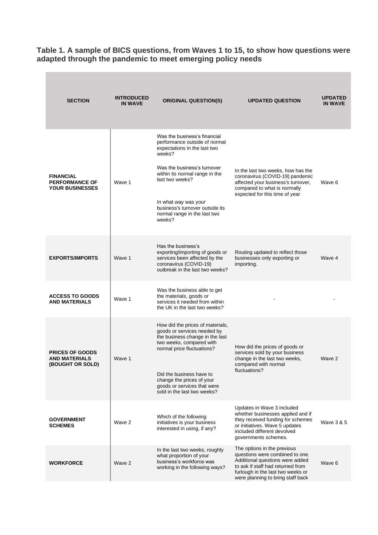**Table 1. A sample of BICS questions, from Waves 1 to 15, to show how questions were adapted through the pandemic to meet emerging policy needs**

m.

| <b>SECTION</b>                                                      | <b>INTRODUCED</b><br><b>IN WAVE</b> | <b>ORIGINAL QUESTION(S)</b>                                                                                                                                                                                                                                                                      | <b>UPDATED QUESTION</b>                                                                                                                                                                                          | <b>UPDATED</b><br><b>IN WAVE</b> |
|---------------------------------------------------------------------|-------------------------------------|--------------------------------------------------------------------------------------------------------------------------------------------------------------------------------------------------------------------------------------------------------------------------------------------------|------------------------------------------------------------------------------------------------------------------------------------------------------------------------------------------------------------------|----------------------------------|
| <b>FINANCIAL</b><br><b>PERFORMANCE OF</b><br><b>YOUR BUSINESSES</b> | Wave 1                              | Was the business's financial<br>performance outside of normal<br>expectations in the last two<br>weeks?<br>Was the business's turnover<br>within its normal range in the<br>last two weeks?<br>In what way was your<br>business's turnover outside its<br>normal range in the last two<br>weeks? | In the last two weeks, how has the<br>coronavirus (COVID-19) pandemic<br>affected your business's turnover,<br>compared to what is normally<br>expected for this time of year                                    | Wave 6                           |
| <b>EXPORTS/IMPORTS</b>                                              | Wave 1                              | Has the business's<br>exporting/importing of goods or<br>services been affected by the<br>coronavirus (COVID-19)<br>outbreak in the last two weeks?                                                                                                                                              | Routing updated to reflect those<br>businesses only exporting or<br>importing.                                                                                                                                   | Wave 4                           |
| <b>ACCESS TO GOODS</b><br><b>AND MATERIALS</b>                      | Wave 1                              | Was the business able to get<br>the materials, goods or<br>services it needed from within<br>the UK in the last two weeks?                                                                                                                                                                       |                                                                                                                                                                                                                  |                                  |
| <b>PRICES OF GOODS</b><br><b>AND MATERIALS</b><br>(BOUGHT OR SOLD)  | Wave 1                              | How did the prices of materials,<br>goods or services needed by<br>the business change in the last<br>two weeks, compared with<br>normal price fluctuations?<br>Did the business have to<br>change the prices of your<br>goods or services that were<br>sold in the last two weeks?              | How did the prices of goods or<br>services sold by your business<br>change in the last two weeks,<br>compared with normal<br>fluctuations?                                                                       | Wave 2                           |
| <b>GOVERNMENT</b><br><b>SCHEMES</b>                                 | Wave 2                              | Which of the following<br>initiatives is your business<br>interested in using, if any?                                                                                                                                                                                                           | Updates in Wave 3 included<br>whether businesses applied and if<br>they received funding for schemes<br>or initiatives. Wave 5 updates<br>included different devolved<br>governments schemes.                    | Wave 3 & 5                       |
| <b>WORKFORCE</b>                                                    | Wave 2                              | In the last two weeks, roughly<br>what proportion of your<br>business's workforce was<br>working in the following ways?                                                                                                                                                                          | The options in the previous<br>questions were combined to one.<br>Additional questions were added<br>to ask if staff had returned from<br>furlough in the last two weeks or<br>were planning to bring staff back | Wave 6                           |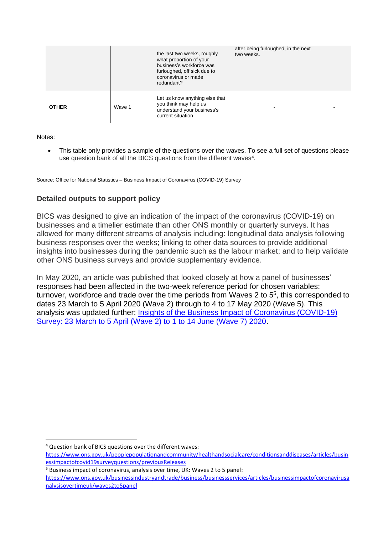|              |        | the last two weeks, roughly<br>what proportion of your<br>business's workforce was<br>furloughed, off sick due to<br>coronavirus or made<br>redundant? | after being furloughed, in the next<br>two weeks. |
|--------------|--------|--------------------------------------------------------------------------------------------------------------------------------------------------------|---------------------------------------------------|
| <b>OTHER</b> | Wave 1 | Let us know anything else that<br>you think may help us<br>understand your business's<br>current situation                                             |                                                   |

Notes:

• This table only provides a sample of the questions over the waves. To see a full set of questions please use question bank of all the BICS questions from the different waves<sup>4</sup>.

Source: Office for National Statistics – Business Impact of Coronavirus (COVID-19) Survey

### **Detailed outputs to support policy**

BICS was designed to give an indication of the impact of the coronavirus (COVID-19) on businesses and a timelier estimate than other ONS monthly or quarterly surveys. It has allowed for many different streams of analysis including: longitudinal data analysis following business responses over the weeks; linking to other data sources to provide additional insights into businesses during the pandemic such as the labour market; and to help validate other ONS business surveys and provide supplementary evidence.

In May 2020, an article was published that looked closely at how a panel of businesses' responses had been affected in the two-week reference period for chosen variables: turnover, workforce and trade over the time periods from Waves 2 to 5<sup>5</sup>, this corresponded to dates 23 March to 5 April 2020 (Wave 2) through to 4 to 17 May 2020 (Wave 5). This analysis was updated further: [Insights of the Business Impact of Coronavirus \(COVID-19\)](https://www.ons.gov.uk/businessindustryandtrade/business/businessservices/articles/insightsofthebusinessimpactofcoronaviruscovid19survey/23marchto5aprilwave2to1to14junewave72020)  [Survey: 23 March to 5 April \(Wave 2\) to 1 to 14 June \(Wave 7\) 2020.](https://www.ons.gov.uk/businessindustryandtrade/business/businessservices/articles/insightsofthebusinessimpactofcoronaviruscovid19survey/23marchto5aprilwave2to1to14junewave72020)

<sup>4</sup> Question bank of BICS questions over the different waves:

[https://www.ons.gov.uk/peoplepopulationandcommunity/healthandsocialcare/conditionsanddiseases/articles/busin](https://www.ons.gov.uk/peoplepopulationandcommunity/healthandsocialcare/conditionsanddiseases/articles/businessimpactofcovid19surveyquestions/previousReleases) [essimpactofcovid19surveyquestions/previousReleases](https://www.ons.gov.uk/peoplepopulationandcommunity/healthandsocialcare/conditionsanddiseases/articles/businessimpactofcovid19surveyquestions/previousReleases)

<sup>5</sup> Business impact of coronavirus, analysis over time, UK: Waves 2 to 5 panel:

[https://www.ons.gov.uk/businessindustryandtrade/business/businessservices/articles/businessimpactofcoronavirusa](https://www.ons.gov.uk/businessindustryandtrade/business/businessservices/articles/businessimpactofcoronavirusanalysisovertimeuk/waves2to5panel) [nalysisovertimeuk/waves2to5panel](https://www.ons.gov.uk/businessindustryandtrade/business/businessservices/articles/businessimpactofcoronavirusanalysisovertimeuk/waves2to5panel)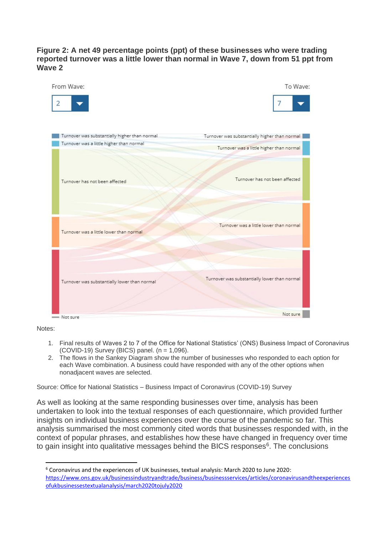### **Figure 2: A net 49 percentage points (ppt) of these businesses who were trading reported turnover was a little lower than normal in Wave 7, down from 51 ppt from Wave 2**

| From Wave:<br>2                                                                           | To Wave:                                                                                  |
|-------------------------------------------------------------------------------------------|-------------------------------------------------------------------------------------------|
| Turnover was substantially higher than normal<br>Turnover was a little higher than normal | Turnover was substantially higher than normal<br>Turnover was a little higher than normal |
| Turnover has not been affected                                                            | Turnover has not been affected                                                            |
| Turnover was a little lower than normal                                                   | Turnover was a little lower than normal                                                   |
| Turnover was substantially lower than normal                                              | Turnover was substantially lower than normal                                              |
| Not sure                                                                                  | Not sure                                                                                  |

Notes:

- 1. Final results of Waves 2 to 7 of the Office for National Statistics' (ONS) Business Impact of Coronavirus  $(COVID-19)$  Survey (BICS) panel.  $(n = 1,096)$ .
- 2. The flows in the Sankey Diagram show the number of businesses who responded to each option for each Wave combination. A business could have responded with any of the other options when nonadjacent waves are selected.

Source: Office for National Statistics – Business Impact of Coronavirus (COVID-19) Survey

As well as looking at the same responding businesses over time, analysis has been undertaken to look into the textual responses of each questionnaire, which provided further insights on individual business experiences over the course of the pandemic so far. This analysis summarised the most commonly cited words that businesses responded with, in the context of popular phrases, and establishes how these have changed in frequency over time to gain insight into qualitative messages behind the BICS responses<sup>6</sup>. The conclusions

<sup>6</sup> Coronavirus and the experiences of UK businesses, textual analysis: March 2020 to June 2020: [https://www.ons.gov.uk/businessindustryandtrade/business/businessservices/articles/coronavirusandtheexperiences](https://www.ons.gov.uk/businessindustryandtrade/business/businessservices/articles/coronavirusandtheexperiencesofukbusinessestextualanalysis/march2020tojuly2020) [ofukbusinessestextualanalysis/march2020tojuly2020](https://www.ons.gov.uk/businessindustryandtrade/business/businessservices/articles/coronavirusandtheexperiencesofukbusinessestextualanalysis/march2020tojuly2020)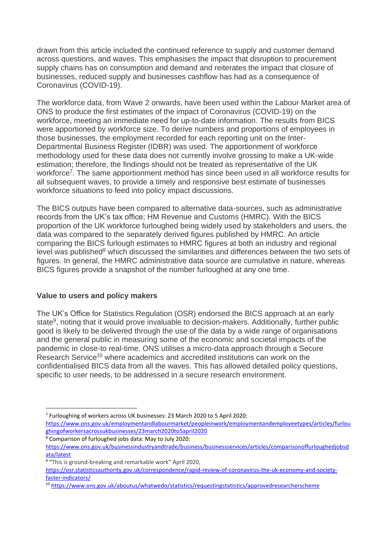drawn from this article included the continued reference to supply and customer demand across questions, and waves. This emphasises the impact that disruption to procurement supply chains has on consumption and demand and reiterates the impact that closure of businesses, reduced supply and businesses cashflow has had as a consequence of Coronavirus (COVID-19).

The workforce data, from Wave 2 onwards, have been used within the Labour Market area of ONS to produce the first estimates of the impact of Coronavirus (COVID-19) on the workforce, meeting an immediate need for up-to-date information. The results from BICS were apportioned by workforce size. To derive numbers and proportions of employees in those businesses, the employment recorded for each reporting unit on the Inter-Departmental Business Register (IDBR) was used. The apportionment of workforce methodology used for these data does not currently involve grossing to make a UK-wide estimation; therefore, the findings should not be treated as representative of the UK workforce<sup>7</sup>. The same apportionment method has since been used in all workforce results for all subsequent waves, to provide a timely and responsive best estimate of businesses workforce situations to feed into policy impact discussions.

The BICS outputs have been compared to alternative data-sources, such as administrative records from the UK's tax office; HM Revenue and Customs (HMRC). With the BICS proportion of the UK workforce furloughed being widely used by stakeholders and users, the data was compared to the separately derived figures published by HMRC. An article comparing the BICS furlough estimates to HMRC figures at both an industry and regional level was published $8$  which discussed the similarities and differences between the two sets of figures. In general, the HMRC administrative data source are cumulative in nature, whereas BICS figures provide a snapshot of the number furloughed at any one time.

### **Value to users and policy makers**

The UK's Office for Statistics Regulation (OSR) endorsed the BICS approach at an early state<sup>9</sup>, noting that it would prove invaluable to decision-makers. Additionally, further public good is likely to be delivered through the use of the data by a wide range of organisations and the general public in measuring some of the economic and societal impacts of the pandemic in close-to real-time. ONS utilises a micro-data approach through a Secure Research Service<sup>10</sup> where academics and accredited institutions can work on the confidentialised BICS data from all the waves. This has allowed detailed policy questions, specific to user needs, to be addressed in a secure research environment.

<sup>7</sup> Furloughing of workers across UK businesses: 23 March 2020 to 5 April 2020:

[https://www.ons.gov.uk/employmentandlabourmarket/peopleinwork/employmentandemployeetypes/articles/furlou](https://www.ons.gov.uk/employmentandlabourmarket/peopleinwork/employmentandemployeetypes/articles/furloughingofworkersacrossukbusinesses/23march2020to5april2020) [ghingofworkersacrossukbusinesses/23march2020to5april2020](https://www.ons.gov.uk/employmentandlabourmarket/peopleinwork/employmentandemployeetypes/articles/furloughingofworkersacrossukbusinesses/23march2020to5april2020) <sup>8</sup> Comparison of furloughed jobs data: May to July 2020:

[https://www.ons.gov.uk/businessindustryandtrade/business/businessservices/articles/comparisonoffurloughedjobsd](https://www.ons.gov.uk/businessindustryandtrade/business/businessservices/articles/comparisonoffurloughedjobsdata/latest) [ata/latest](https://www.ons.gov.uk/businessindustryandtrade/business/businessservices/articles/comparisonoffurloughedjobsdata/latest)

<sup>&</sup>lt;sup>9</sup> "This is ground-breaking and remarkable work" April 2020,

[https://osr.statisticsauthority.gov.uk/correspondence/rapid-review-of-coronavirus-the-uk-economy-and-society](https://osr.statisticsauthority.gov.uk/correspondence/rapid-review-of-coronavirus-the-uk-economy-and-society-faster-indicators/)[faster-indicators/](https://osr.statisticsauthority.gov.uk/correspondence/rapid-review-of-coronavirus-the-uk-economy-and-society-faster-indicators/)

<sup>10</sup> <https://www.ons.gov.uk/aboutus/whatwedo/statistics/requestingstatistics/approvedresearcherscheme>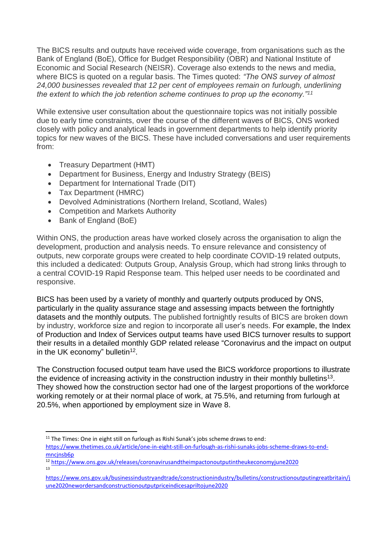The BICS results and outputs have received wide coverage, from organisations such as the Bank of England (BoE), Office for Budget Responsibility (OBR) and National Institute of Economic and Social Research (NEISR). Coverage also extends to the news and media, where BICS is quoted on a regular basis. The Times quoted: *"The ONS survey of almost 24,000 businesses revealed that 12 per cent of employees remain on furlough, underlining the extent to which the job retention scheme continues to prop up the economy."<sup>11</sup>*

While extensive user consultation about the questionnaire topics was not initially possible due to early time constraints, over the course of the different waves of BICS, ONS worked closely with policy and analytical leads in government departments to help identify priority topics for new waves of the BICS. These have included conversations and user requirements from:

- Treasury Department (HMT)
- Department for Business, Energy and Industry Strategy (BEIS)
- Department for International Trade (DIT)
- Tax Department (HMRC)
- Devolved Administrations (Northern Ireland, Scotland, Wales)
- Competition and Markets Authority
- Bank of England (BoE)

Within ONS, the production areas have worked closely across the organisation to align the development, production and analysis needs. To ensure relevance and consistency of outputs, new corporate groups were created to help coordinate COVID-19 related outputs, this included a dedicated: Outputs Group, Analysis Group, which had strong links through to a central COVID-19 Rapid Response team. This helped user needs to be coordinated and responsive.

BICS has been used by a variety of monthly and quarterly outputs produced by ONS, particularly in the quality assurance stage and assessing impacts between the fortnightly datasets and the monthly outputs. The published fortnightly results of BICS are broken down by industry, workforce size and region to incorporate all user's needs. For example, the Index of Production and Index of Services output teams have used BICS turnover results to support their results in a detailed monthly GDP related release "Coronavirus and the impact on output in the UK economy" bulletin<sup>12</sup>.

The Construction focused output team have used the BICS workforce proportions to illustrate the evidence of increasing activity in the construction industry in their monthly bulletins<sup>13</sup>. They showed how the construction sector had one of the largest proportions of the workforce working remotely or at their normal place of work, at 75.5%, and returning from furlough at 20.5%, when apportioned by employment size in Wave 8.

 $11$  The Times: One in eight still on furlough as Rishi Sunak's jobs scheme draws to end:

[https://www.thetimes.co.uk/article/one-in-eight-still-on-furlough-as-rishi-sunaks-jobs-scheme-draws-to-end](https://www.thetimes.co.uk/article/one-in-eight-still-on-furlough-as-rishi-sunaks-jobs-scheme-draws-to-end-mncjnsb6p)mncinsb6p

<sup>12</sup> <https://www.ons.gov.uk/releases/coronavirusandtheimpactonoutputintheukeconomyjune2020> 13

[https://www.ons.gov.uk/businessindustryandtrade/constructionindustry/bulletins/constructionoutputingreatbritain/j](https://www.ons.gov.uk/businessindustryandtrade/constructionindustry/bulletins/constructionoutputingreatbritain/june2020newordersandconstructionoutputpriceindicesapriltojune2020) [une2020newordersandconstructionoutputpriceindicesapriltojune2020](https://www.ons.gov.uk/businessindustryandtrade/constructionindustry/bulletins/constructionoutputingreatbritain/june2020newordersandconstructionoutputpriceindicesapriltojune2020)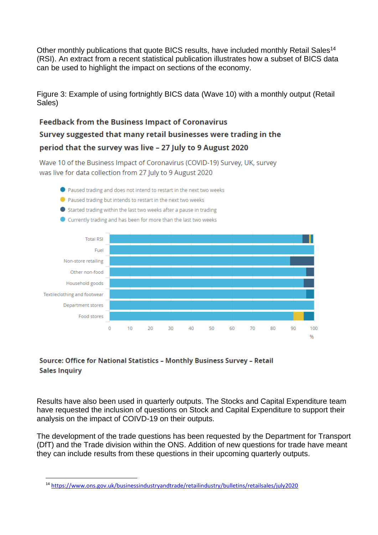Other monthly publications that quote BICS results, have included monthly Retail Sales<sup>14</sup> (RSI). An extract from a recent statistical publication illustrates how a subset of BICS data can be used to highlight the impact on sections of the economy.

Figure 3: Example of using fortnightly BICS data (Wave 10) with a monthly output (Retail Sales)

# **Feedback from the Business Impact of Coronavirus** Survey suggested that many retail businesses were trading in the period that the survey was live - 27 July to 9 August 2020

Wave 10 of the Business Impact of Coronavirus (COVID-19) Survey, UK, survey was live for data collection from 27 July to 9 August 2020

- Paused trading and does not intend to restart in the next two weeks
- Paused trading but intends to restart in the next two weeks
- Started trading within the last two weeks after a pause in trading
- Currently trading and has been for more than the last two weeks



## Source: Office for National Statistics - Monthly Business Survey - Retail **Sales Inquiry**

Results have also been used in quarterly outputs. The Stocks and Capital Expenditure team have requested the inclusion of questions on Stock and Capital Expenditure to support their analysis on the impact of COIVD-19 on their outputs.

The development of the trade questions has been requested by the Department for Transport (DfT) and the Trade division within the ONS. Addition of new questions for trade have meant they can include results from these questions in their upcoming quarterly outputs.

<sup>14</sup> <https://www.ons.gov.uk/businessindustryandtrade/retailindustry/bulletins/retailsales/july2020>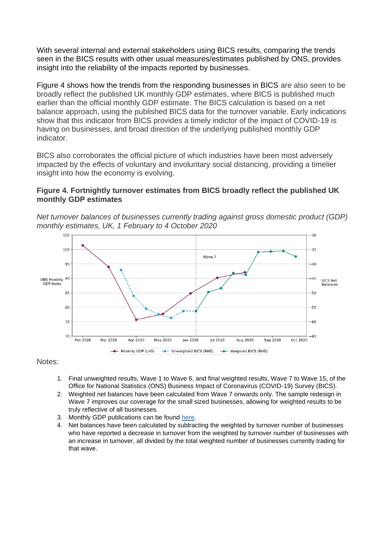With several internal and external stakeholders using BICS results, comparing the trends seen in the BICS results with other usual measures/estimates published by ONS, provides insight into the reliability of the impacts reported by businesses.

Figure 4 shows how the trends from the responding businesses in BICS are also seen to be broadly reflect the published UK monthly GDP estimates, where BICS is published much earlier than the official monthly GDP estimate. The BICS calculation is based on a net balance approach, using the published BICS data for the turnover variable. Early indications show that this indicator from BICS provides a timely indictor of the impact of COVID-19 is having on businesses, and broad direction of the underlying published monthly GDP indicator.

BICS also corroborates the official picture of which industries have been most adversely impacted by the effects of voluntary and involuntary social distancing, providing a timelier insight into how the economy is evolving.

### **Figure 4. Fortnightly turnover estimates from BICS broadly reflect the published UK monthly GDP estimates**

*Net turnover balances of businesses currently trading against gross domestic product (GDP) monthly estimates, UK, 1 February to 4 October 2020*



Notes:

- 1. Final unweighted results, Wave 1 to Wave 6, and final weighted results, Wave 7 to Wave 15, of the Office for National Statistics (ONS) Business Impact of Coronavirus (COVID-19) Survey (BICS).
- 2. Weighted net balances have been calculated from Wave 7 onwards only. The sample redesign in Wave 7 improves our coverage for the small sized businesses, allowing for weighted results to be truly reflective of all businesses.
- 3. Monthly GDP publications can be found [here.](http://www.ons.gov.uk/economy/grossdomesticproductgdp/bulletins/gdpmonthlyestimateuk/latest)
- 4. Net balances have been calculated by subtracting the weighted by turnover number of businesses who have reported a decrease in turnover from the weighted by turnover number of businesses with an increase in turnover, all divided by the total weighted number of businesses currently trading for that wave.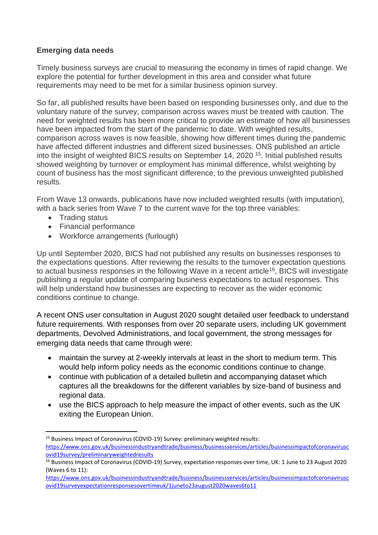## **Emerging data needs**

Timely business surveys are crucial to measuring the economy in times of rapid change. We explore the potential for further development in this area and consider what future requirements may need to be met for a similar business opinion survey.

So far, all published results have been based on responding businesses only, and due to the voluntary nature of the survey, comparison across waves must be treated with caution. The need for weighted results has been more critical to provide an estimate of how all businesses have been impacted from the start of the pandemic to date. With weighted results, comparison across waves is now feasible, showing how different times during the pandemic have affected different industries and different sized businesses. ONS published an article into the insight of weighted BICS results on September 14, 2020<sup>15</sup>. Initial published results showed weighting by turnover or employment has minimal difference, whilst weighting by count of business has the most significant difference, to the previous unweighted published results.

From Wave 13 onwards, publications have now included weighted results (with imputation), with a back series from Wave 7 to the current wave for the top three variables:

- Trading status
- Financial performance
- Workforce arrangements (furlough)

Up until September 2020, BICS had not published any results on businesses responses to the expectations questions. After reviewing the results to the turnover expectation questions to actual business responses in the following Wave in a recent article<sup>16</sup>, BICS will investigate publishing a regular update of comparing business expectations to actual responses. This will help understand how businesses are expecting to recover as the wider economic conditions continue to change.

A recent ONS user consultation in August 2020 sought detailed user feedback to understand future requirements. With responses from over 20 separate users, including UK government departments, Devolved Administrations, and local government, the strong messages for emerging data needs that came through were:

- maintain the survey at 2-weekly intervals at least in the short to medium term. This would help inform policy needs as the economic conditions continue to change.
- continue with publication of a detailed bulletin and accompanying dataset which captures all the breakdowns for the different variables by size-band of business and regional data.
- use the BICS approach to help measure the impact of other events, such as the UK exiting the European Union.

<sup>&</sup>lt;sup>15</sup> Business Impact of Coronavirus (COVID-19) Survey: preliminary weighted results: [https://www.ons.gov.uk/businessindustryandtrade/business/businessservices/articles/businessimpactofcoronavirusc](https://www.ons.gov.uk/businessindustryandtrade/business/businessservices/articles/businessimpactofcoronaviruscovid19survey/preliminaryweightedresults) [ovid19survey/preliminaryweightedresults](https://www.ons.gov.uk/businessindustryandtrade/business/businessservices/articles/businessimpactofcoronaviruscovid19survey/preliminaryweightedresults)

<sup>&</sup>lt;sup>16</sup> Business Impact of Coronavirus (COVID-19) Survey, expectation responses over time, UK: 1 June to 23 August 2020 (Waves 6 to 11):

[https://www.ons.gov.uk/businessindustryandtrade/business/businessservices/articles/businessimpactofcoronavirusc](https://www.ons.gov.uk/businessindustryandtrade/business/businessservices/articles/businessimpactofcoronaviruscovid19surveyexpectationresponsesovertimeuk/1juneto23august2020waves6to11) [ovid19surveyexpectationresponsesovertimeuk/1juneto23august2020waves6to11](https://www.ons.gov.uk/businessindustryandtrade/business/businessservices/articles/businessimpactofcoronaviruscovid19surveyexpectationresponsesovertimeuk/1juneto23august2020waves6to11)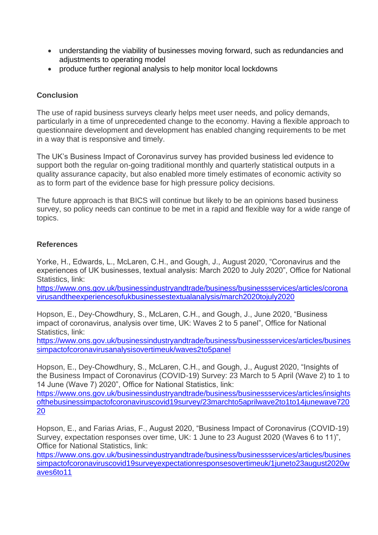- understanding the viability of businesses moving forward, such as redundancies and adjustments to operating model
- produce further regional analysis to help monitor local lockdowns

## **Conclusion**

The use of rapid business surveys clearly helps meet user needs, and policy demands, particularly in a time of unprecedented change to the economy. Having a flexible approach to questionnaire development and development has enabled changing requirements to be met in a way that is responsive and timely.

The UK's Business Impact of Coronavirus survey has provided business led evidence to support both the regular on-going traditional monthly and quarterly statistical outputs in a quality assurance capacity, but also enabled more timely estimates of economic activity so as to form part of the evidence base for high pressure policy decisions.

The future approach is that BICS will continue but likely to be an opinions based business survey, so policy needs can continue to be met in a rapid and flexible way for a wide range of topics.

### **References**

Yorke, H., Edwards, L., McLaren, C.H., and Gough, J., August 2020, "Coronavirus and the experiences of UK businesses, textual analysis: March 2020 to July 2020", Office for National Statistics, link:

[https://www.ons.gov.uk/businessindustryandtrade/business/businessservices/articles/corona](https://www.ons.gov.uk/businessindustryandtrade/business/businessservices/articles/coronavirusandtheexperiencesofukbusinessestextualanalysis/march2020tojuly2020) [virusandtheexperiencesofukbusinessestextualanalysis/march2020tojuly2020](https://www.ons.gov.uk/businessindustryandtrade/business/businessservices/articles/coronavirusandtheexperiencesofukbusinessestextualanalysis/march2020tojuly2020)

Hopson, E., Dey-Chowdhury, S., McLaren, C.H., and Gough, J., June 2020, "Business impact of coronavirus, analysis over time, UK: Waves 2 to 5 panel", Office for National Statistics, link:

[https://www.ons.gov.uk/businessindustryandtrade/business/businessservices/articles/busines](https://www.ons.gov.uk/businessindustryandtrade/business/businessservices/articles/businessimpactofcoronavirusanalysisovertimeuk/waves2to5panel) [simpactofcoronavirusanalysisovertimeuk/waves2to5panel](https://www.ons.gov.uk/businessindustryandtrade/business/businessservices/articles/businessimpactofcoronavirusanalysisovertimeuk/waves2to5panel)

Hopson, E., Dey-Chowdhury, S., McLaren, C.H., and Gough, J., August 2020, "Insights of the Business Impact of Coronavirus (COVID-19) Survey: 23 March to 5 April (Wave 2) to 1 to 14 June (Wave 7) 2020", Office for National Statistics, link:

[https://www.ons.gov.uk/businessindustryandtrade/business/businessservices/articles/insights](https://www.ons.gov.uk/businessindustryandtrade/business/businessservices/articles/insightsofthebusinessimpactofcoronaviruscovid19survey/23marchto5aprilwave2to1to14junewave72020) [ofthebusinessimpactofcoronaviruscovid19survey/23marchto5aprilwave2to1to14junewave720](https://www.ons.gov.uk/businessindustryandtrade/business/businessservices/articles/insightsofthebusinessimpactofcoronaviruscovid19survey/23marchto5aprilwave2to1to14junewave72020) [20](https://www.ons.gov.uk/businessindustryandtrade/business/businessservices/articles/insightsofthebusinessimpactofcoronaviruscovid19survey/23marchto5aprilwave2to1to14junewave72020)

Hopson, E., and Farias Arias, F., August 2020, "Business Impact of Coronavirus (COVID-19) Survey, expectation responses over time, UK: 1 June to 23 August 2020 (Waves 6 to 11)", Office for National Statistics, link:

[https://www.ons.gov.uk/businessindustryandtrade/business/businessservices/articles/busines](https://www.ons.gov.uk/businessindustryandtrade/business/businessservices/articles/businessimpactofcoronaviruscovid19surveyexpectationresponsesovertimeuk/1juneto23august2020waves6to11) [simpactofcoronaviruscovid19surveyexpectationresponsesovertimeuk/1juneto23august2020w](https://www.ons.gov.uk/businessindustryandtrade/business/businessservices/articles/businessimpactofcoronaviruscovid19surveyexpectationresponsesovertimeuk/1juneto23august2020waves6to11) [aves6to11](https://www.ons.gov.uk/businessindustryandtrade/business/businessservices/articles/businessimpactofcoronaviruscovid19surveyexpectationresponsesovertimeuk/1juneto23august2020waves6to11)